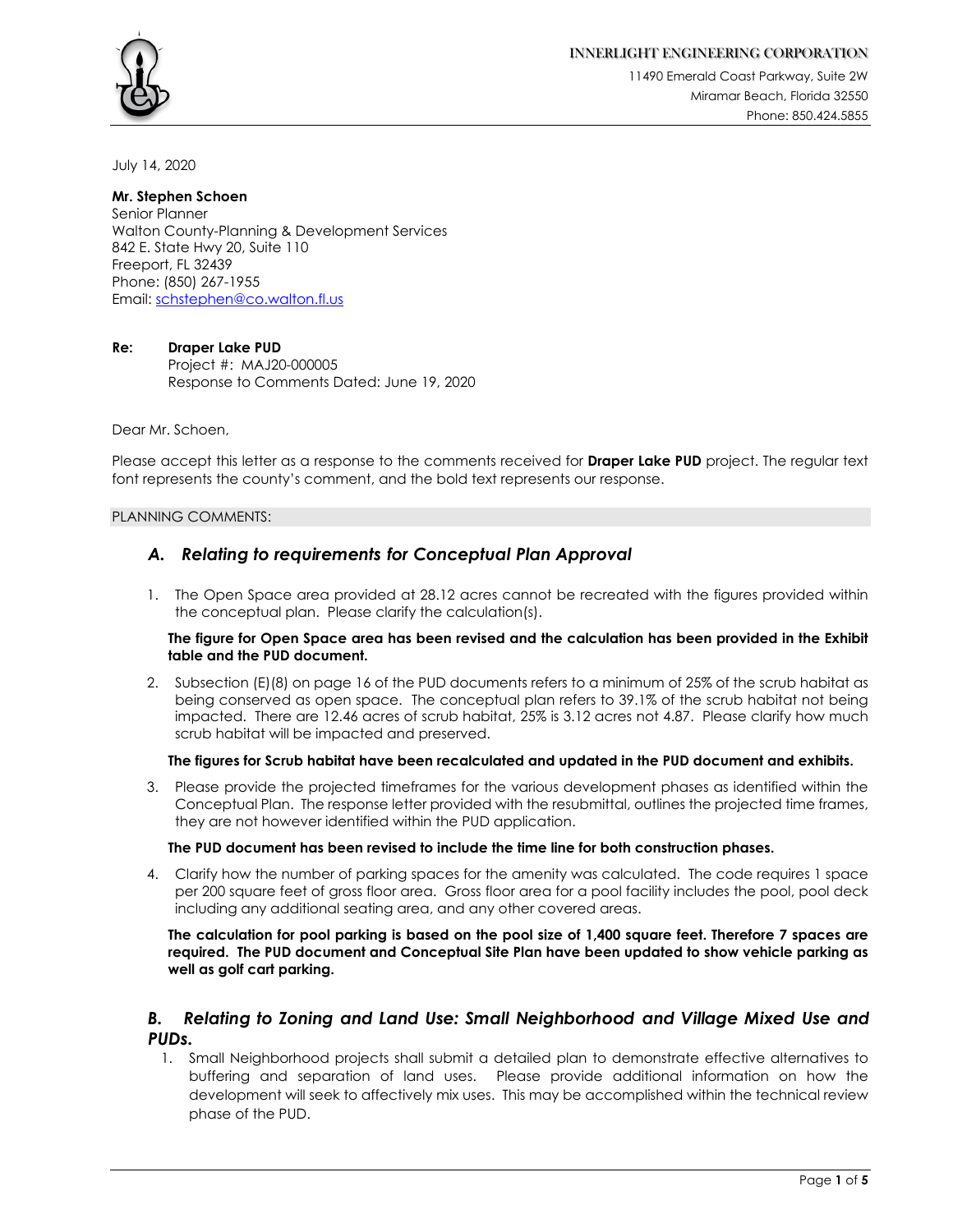

July 14, 2020

## **Mr. Stephen Schoen**

Senior Planner Walton County-Planning & Development Services 842 E. State Hwy 20, Suite 110 Freeport, FL 32439 Phone: (850) 267-1955 Email: schstephen@co.walton.fl.us

## **Re: Draper Lake PUD**

Project #: MAJ20-000005 Response to Comments Dated: June 19, 2020

Dear Mr. Schoen,

Please accept this letter as a response to the comments received for **Draper Lake PUD** project. The regular text font represents the county's comment, and the bold text represents our response.

## PLANNING COMMENTS:

# *A. Relating to requirements for Conceptual Plan Approval*

1. The Open Space area provided at 28.12 acres cannot be recreated with the figures provided within the conceptual plan. Please clarify the calculation(s).

#### **The figure for Open Space area has been revised and the calculation has been provided in the Exhibit table and the PUD document.**

2. Subsection (E)(8) on page 16 of the PUD documents refers to a minimum of 25% of the scrub habitat as being conserved as open space. The conceptual plan refers to 39.1% of the scrub habitat not being impacted. There are 12.46 acres of scrub habitat, 25% is 3.12 acres not 4.87. Please clarify how much scrub habitat will be impacted and preserved.

## **The figures for Scrub habitat have been recalculated and updated in the PUD document and exhibits.**

3. Please provide the projected timeframes for the various development phases as identified within the Conceptual Plan. The response letter provided with the resubmittal, outlines the projected time frames, they are not however identified within the PUD application.

## **The PUD document has been revised to include the time line for both construction phases.**

4. Clarify how the number of parking spaces for the amenity was calculated. The code requires 1 space per 200 square feet of gross floor area. Gross floor area for a pool facility includes the pool, pool deck including any additional seating area, and any other covered areas.

#### **The calculation for pool parking is based on the pool size of 1,400 square feet. Therefore 7 spaces are required. The PUD document and Conceptual Site Plan have been updated to show vehicle parking as well as golf cart parking.**

# *B. Relating to Zoning and Land Use: Small Neighborhood and Village Mixed Use and PUDs.*

1. Small Neighborhood projects shall submit a detailed plan to demonstrate effective alternatives to buffering and separation of land uses. Please provide additional information on how the development will seek to affectively mix uses. This may be accomplished within the technical review phase of the PUD.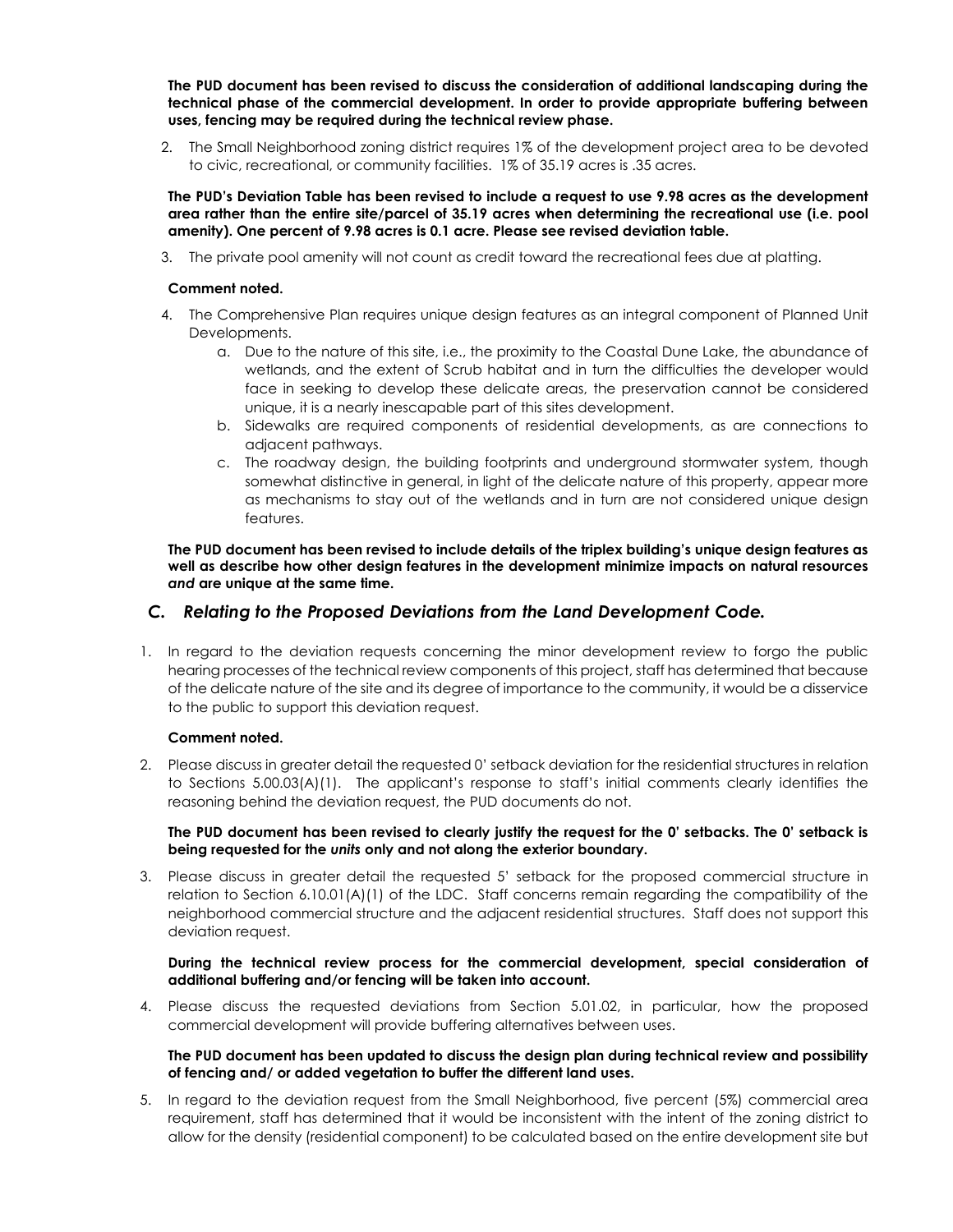**The PUD document has been revised to discuss the consideration of additional landscaping during the technical phase of the commercial development. In order to provide appropriate buffering between uses, fencing may be required during the technical review phase.** 

2. The Small Neighborhood zoning district requires 1% of the development project area to be devoted to civic, recreational, or community facilities. 1% of 35.19 acres is .35 acres.

**The PUD's Deviation Table has been revised to include a request to use 9.98 acres as the development area rather than the entire site/parcel of 35.19 acres when determining the recreational use (i.e. pool amenity). One percent of 9.98 acres is 0.1 acre. Please see revised deviation table.** 

3. The private pool amenity will not count as credit toward the recreational fees due at platting.

## **Comment noted.**

- 4. The Comprehensive Plan requires unique design features as an integral component of Planned Unit Developments.
	- a. Due to the nature of this site, i.e., the proximity to the Coastal Dune Lake, the abundance of wetlands, and the extent of Scrub habitat and in turn the difficulties the developer would face in seeking to develop these delicate areas, the preservation cannot be considered unique, it is a nearly inescapable part of this sites development.
	- b. Sidewalks are required components of residential developments, as are connections to adjacent pathways.
	- c. The roadway design, the building footprints and underground stormwater system, though somewhat distinctive in general, in light of the delicate nature of this property, appear more as mechanisms to stay out of the wetlands and in turn are not considered unique design features.

**The PUD document has been revised to include details of the triplex building's unique design features as well as describe how other design features in the development minimize impacts on natural resources**  *and* **are unique at the same time.** 

## *C. Relating to the Proposed Deviations from the Land Development Code.*

1. In regard to the deviation requests concerning the minor development review to forgo the public hearing processes of the technical review components of this project, staff has determined that because of the delicate nature of the site and its degree of importance to the community, it would be a disservice to the public to support this deviation request.

#### **Comment noted.**

2. Please discuss in greater detail the requested 0' setback deviation for the residential structures in relation to Sections 5.00.03(A)(1). The applicant's response to staff's initial comments clearly identifies the reasoning behind the deviation request, the PUD documents do not.

## **The PUD document has been revised to clearly justify the request for the 0' setbacks. The 0' setback is being requested for the** *units* **only and not along the exterior boundary.**

3. Please discuss in greater detail the requested 5' setback for the proposed commercial structure in relation to Section 6.10.01(A)(1) of the LDC. Staff concerns remain regarding the compatibility of the neighborhood commercial structure and the adjacent residential structures. Staff does not support this deviation request.

## **During the technical review process for the commercial development, special consideration of additional buffering and/or fencing will be taken into account.**

4. Please discuss the requested deviations from Section 5.01.02, in particular, how the proposed commercial development will provide buffering alternatives between uses.

## **The PUD document has been updated to discuss the design plan during technical review and possibility of fencing and/ or added vegetation to buffer the different land uses.**

5. In regard to the deviation request from the Small Neighborhood, five percent (5%) commercial area requirement, staff has determined that it would be inconsistent with the intent of the zoning district to allow for the density (residential component) to be calculated based on the entire development site but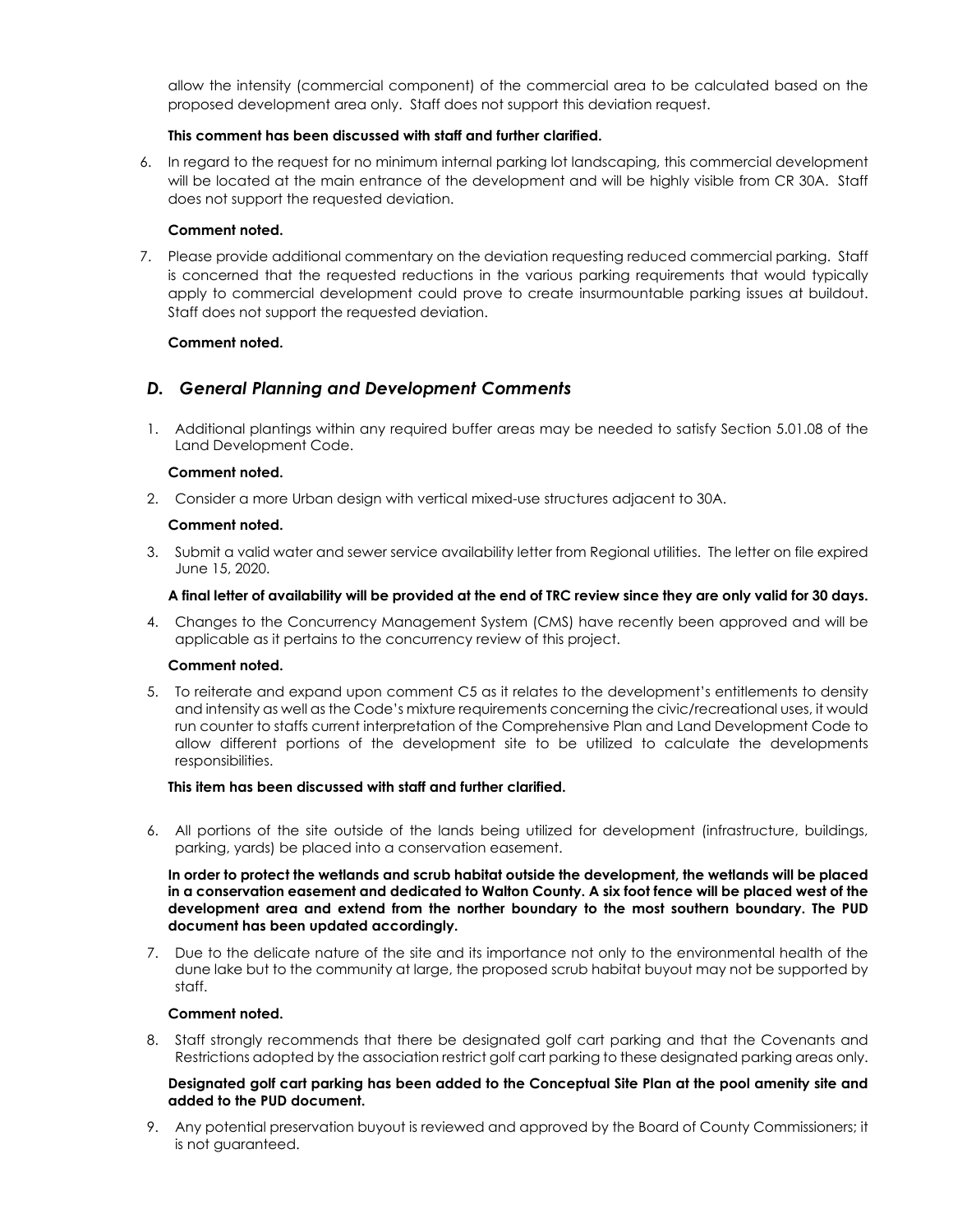allow the intensity (commercial component) of the commercial area to be calculated based on the proposed development area only. Staff does not support this deviation request.

## **This comment has been discussed with staff and further clarified.**

6. In regard to the request for no minimum internal parking lot landscaping, this commercial development will be located at the main entrance of the development and will be highly visible from CR 30A. Staff does not support the requested deviation.

## **Comment noted.**

7. Please provide additional commentary on the deviation requesting reduced commercial parking. Staff is concerned that the requested reductions in the various parking requirements that would typically apply to commercial development could prove to create insurmountable parking issues at buildout. Staff does not support the requested deviation.

## **Comment noted.**

# *D. General Planning and Development Comments*

1. Additional plantings within any required buffer areas may be needed to satisfy Section 5.01.08 of the Land Development Code.

#### **Comment noted.**

2. Consider a more Urban design with vertical mixed-use structures adjacent to 30A.

#### **Comment noted.**

3. Submit a valid water and sewer service availability letter from Regional utilities. The letter on file expired June 15, 2020.

#### **A final letter of availability will be provided at the end of TRC review since they are only valid for 30 days.**

4. Changes to the Concurrency Management System (CMS) have recently been approved and will be applicable as it pertains to the concurrency review of this project.

## **Comment noted.**

5. To reiterate and expand upon comment C5 as it relates to the development's entitlements to density and intensity as well as the Code's mixture requirements concerning the civic/recreational uses, it would run counter to staffs current interpretation of the Comprehensive Plan and Land Development Code to allow different portions of the development site to be utilized to calculate the developments responsibilities.

#### **This item has been discussed with staff and further clarified.**

6. All portions of the site outside of the lands being utilized for development (infrastructure, buildings, parking, yards) be placed into a conservation easement.

**In order to protect the wetlands and scrub habitat outside the development, the wetlands will be placed in a conservation easement and dedicated to Walton County. A six foot fence will be placed west of the development area and extend from the norther boundary to the most southern boundary. The PUD document has been updated accordingly.** 

7. Due to the delicate nature of the site and its importance not only to the environmental health of the dune lake but to the community at large, the proposed scrub habitat buyout may not be supported by staff.

#### **Comment noted.**

8. Staff strongly recommends that there be designated golf cart parking and that the Covenants and Restrictions adopted by the association restrict golf cart parking to these designated parking areas only.

## **Designated golf cart parking has been added to the Conceptual Site Plan at the pool amenity site and added to the PUD document.**

9. Any potential preservation buyout is reviewed and approved by the Board of County Commissioners; it is not guaranteed.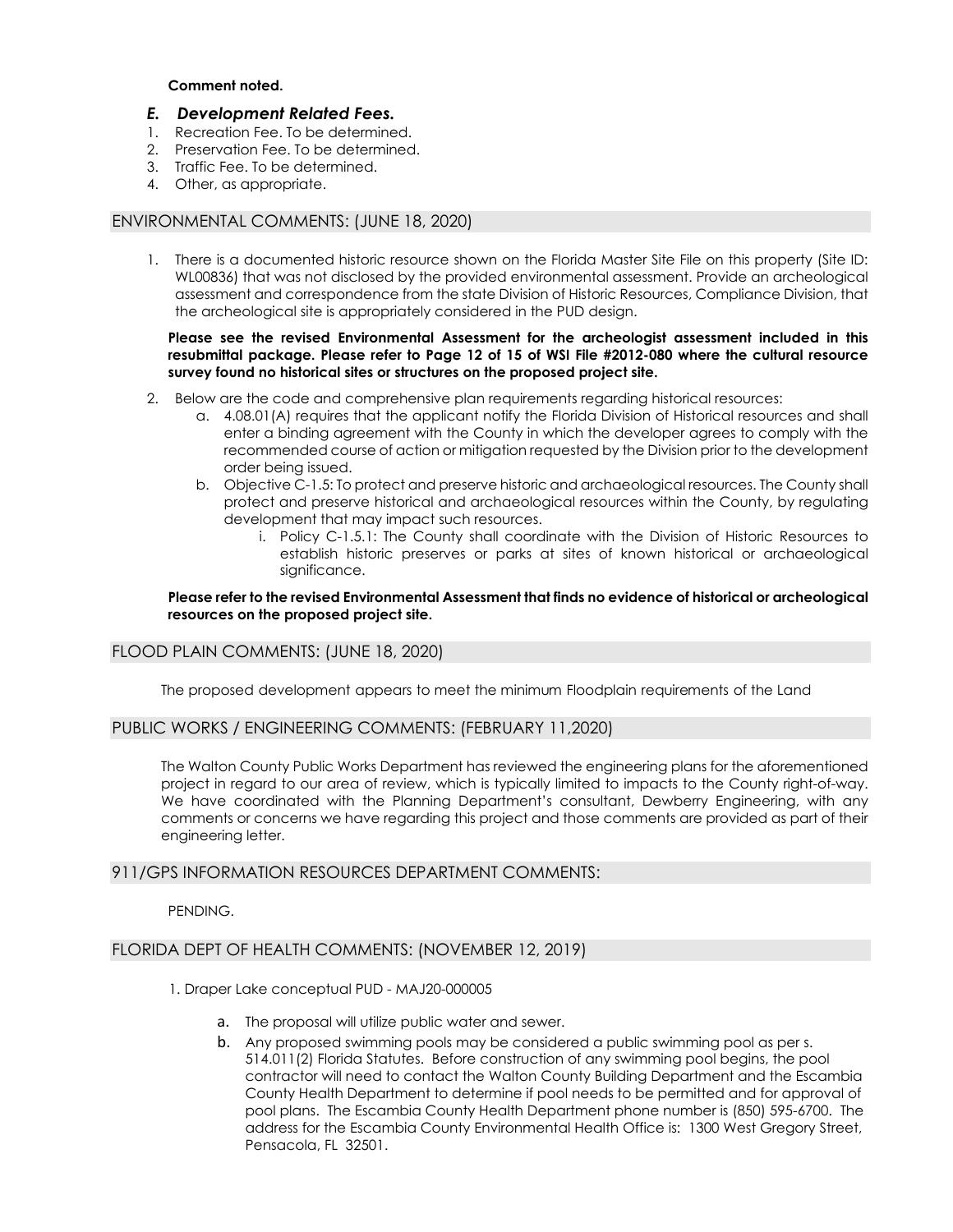## **Comment noted.**

## *E. Development Related Fees.*

- 1. Recreation Fee. To be determined.
- 2. Preservation Fee. To be determined.
- 3. Traffic Fee. To be determined.
- 4. Other, as appropriate.

# ENVIRONMENTAL COMMENTS: (JUNE 18, 2020)

1. There is a documented historic resource shown on the Florida Master Site File on this property (Site ID: WL00836) that was not disclosed by the provided environmental assessment. Provide an archeological assessment and correspondence from the state Division of Historic Resources, Compliance Division, that the archeological site is appropriately considered in the PUD design.

#### **Please see the revised Environmental Assessment for the archeologist assessment included in this resubmittal package. Please refer to Page 12 of 15 of WSI File #2012-080 where the cultural resource survey found no historical sites or structures on the proposed project site.**

- 2. Below are the code and comprehensive plan requirements regarding historical resources:
	- a. 4.08.01(A) requires that the applicant notify the Florida Division of Historical resources and shall enter a binding agreement with the County in which the developer agrees to comply with the recommended course of action or mitigation requested by the Division prior to the development order being issued.
	- b. Objective C-1.5: To protect and preserve historic and archaeological resources. The County shall protect and preserve historical and archaeological resources within the County, by regulating development that may impact such resources.
		- i. Policy C-1.5.1: The County shall coordinate with the Division of Historic Resources to establish historic preserves or parks at sites of known historical or archaeological significance.

## **Please refer to the revised Environmental Assessment that finds no evidence of historical or archeological resources on the proposed project site.**

## FLOOD PLAIN COMMENTS: (JUNE 18, 2020)

The proposed development appears to meet the minimum Floodplain requirements of the Land

## PUBLIC WORKS / ENGINEERING COMMENTS: (FEBRUARY 11,2020)

The Walton County Public Works Department has reviewed the engineering plans for the aforementioned project in regard to our area of review, which is typically limited to impacts to the County right-of-way. We have coordinated with the Planning Department's consultant, Dewberry Engineering, with any comments or concerns we have regarding this project and those comments are provided as part of their engineering letter.

## 911/GPS INFORMATION RESOURCES DEPARTMENT COMMENTS:

PENDING.

## FLORIDA DEPT OF HEALTH COMMENTS: (NOVEMBER 12, 2019)

- 1. Draper Lake conceptual PUD MAJ20-000005
	- a. The proposal will utilize public water and sewer.
	- b. Any proposed swimming pools may be considered a public swimming pool as per s. 514.011(2) Florida Statutes. Before construction of any swimming pool begins, the pool contractor will need to contact the Walton County Building Department and the Escambia County Health Department to determine if pool needs to be permitted and for approval of pool plans. The Escambia County Health Department phone number is (850) 595-6700. The address for the Escambia County Environmental Health Office is: 1300 West Gregory Street, Pensacola, FL 32501.